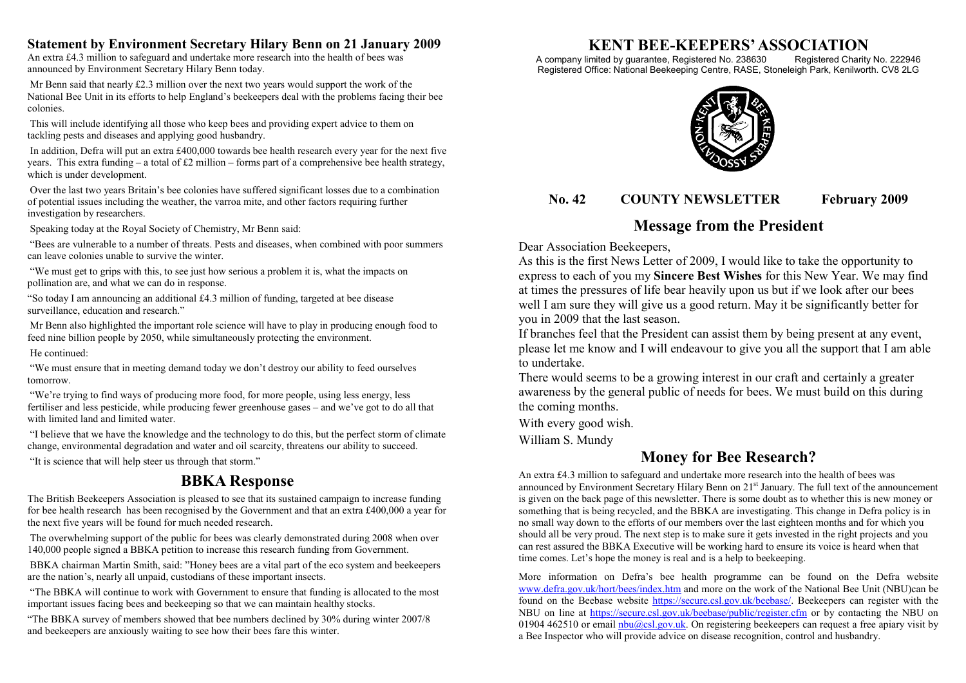#### **Statement by Environment Secretary Hilary Benn on 21 January 2009**

An extra £4.3 million to safeguard and undertake more research into the health of bees was announced by Environment Secretary Hilary Benn today.

 Mr Benn said that nearly £2.3 million over the next two years would support the work of the National Bee Unit in its efforts to help England's beekeepers deal with the problems facing their bee colonies.

 This will include identifying all those who keep bees and providing expert advice to them on tackling pests and diseases and applying good husbandry.

 In addition, Defra will put an extra £400,000 towards bee health research every year for the next five years. This extra funding – a total of £2 million – forms part of a comprehensive bee health strategy, which is under development.

 Over the last two years Britain's bee colonies have suffered significant losses due to a combination of potential issues including the weather, the varroa mite, and other factors requiring further investigation by researchers.

Speaking today at the Royal Society of Chemistry, Mr Benn said:

 "Bees are vulnerable to a number of threats. Pests and diseases, when combined with poor summers can leave colonies unable to survive the winter.

 "We must get to grips with this, to see just how serious a problem it is, what the impacts on pollination are, and what we can do in response.

"So today I am announcing an additional £4.3 million of funding, targeted at bee disease surveillance, education and research."

 Mr Benn also highlighted the important role science will have to play in producing enough food to feed nine billion people by 2050, while simultaneously protecting the environment.

He continued:

 "We must ensure that in meeting demand today we don't destroy our ability to feed ourselves tomorrow.

 "We're trying to find ways of producing more food, for more people, using less energy, less fertiliser and less pesticide, while producing fewer greenhouse gases – and we've got to do all that with limited land and limited water.

 "I believe that we have the knowledge and the technology to do this, but the perfect storm of climate change, environmental degradation and water and oil scarcity, threatens our ability to succeed.

"It is science that will help steer us through that storm."

# **BBKA Response**

The British Beekeepers Association is pleased to see that its sustained campaign to increase funding for bee health research has been recognised by the Government and that an extra £400,000 a year for the next five years will be found for much needed research.

 The overwhelming support of the public for bees was clearly demonstrated during 2008 when over 140,000 people signed a BBKA petition to increase this research funding from Government.

 BBKA chairman Martin Smith, said: "Honey bees are a vital part of the eco system and beekeepers are the nation's, nearly all unpaid, custodians of these important insects.

 "The BBKA will continue to work with Government to ensure that funding is allocated to the most important issues facing bees and beekeeping so that we can maintain healthy stocks.

"The BBKA survey of members showed that bee numbers declined by 30% during winter 2007/8 and beekeepers are anxiously waiting to see how their bees fare this winter.

# **KENT BEE-KEEPERS' ASSOCIATION**

A company limited by guarantee, Registered No. 238630 Registered Charity No. 222946 Registered Office: National Beekeeping Centre, RASE, Stoneleigh Park, Kenilworth. CV8 2LG



### **No. 42 COUNTY NEWSLETTER February 2009**

## **Message from the President**

Dear Association Beekeepers,

As this is the first News Letter of 2009, I would like to take the opportunity to express to each of you my **Sincere Best Wishes** for this New Year. We may find at times the pressures of life bear heavily upon us but if we look after our bees well I am sure they will give us a good return. May it be significantly better for you in 2009 that the last season.

If branches feel that the President can assist them by being present at any event, please let me know and I will endeavour to give you all the support that I am able to undertake.

There would seems to be a growing interest in our craft and certainly a greater awareness by the general public of needs for bees. We must build on this during the coming months.

With every good wish.

William S. Mundy

## **Money for Bee Research?**

An extra £4.3 million to safeguard and undertake more research into the health of bees was announced by Environment Secretary Hilary Benn on  $21<sup>st</sup>$  January. The full text of the announcement is given on the back page of this newsletter. There is some doubt as to whether this is new money or something that is being recycled, and the BBKA are investigating. This change in Defra policy is in no small way down to the efforts of our members over the last eighteen months and for which you should all be very proud. The next step is to make sure it gets invested in the right projects and you can rest assured the BBKA Executive will be working hard to ensure its voice is heard when that time comes. Let's hope the money is real and is a help to beekeeping.

More information on Defra's bee health programme can be found on the Defra website www.defra.gov.uk/hort/bees/index.htm and more on the work of the National Bee Unit (NBU)can be found on the Beebase website https://secure.csl.gov.uk/beebase/. Beekeepers can register with the NBU on line at https://secure.csl.gov.uk/beebase/public/register.cfm or by contacting the NBU on 01904 462510 or email  $n \frac{\text{b} \cdot \text{d} \cdot \text{d} \cdot \text{d} \cdot \text{d} \cdot \text{d} \cdot \text{d} \cdot \text{d} \cdot \text{d} \cdot \text{d} \cdot \text{d} \cdot \text{d} \cdot \text{d} \cdot \text{d} \cdot \text{d} \cdot \text{d} \cdot \text{d} \cdot \text{d} \cdot \text{d} \cdot \text{d} \cdot \text{d} \cdot \text{d} \cdot \text{d} \cdot \text{d} \cdot \text{d} \cdot \text{d} \cdot \text{d} \cdot \text{d} \$ a Bee Inspector who will provide advice on disease recognition, control and husbandry.